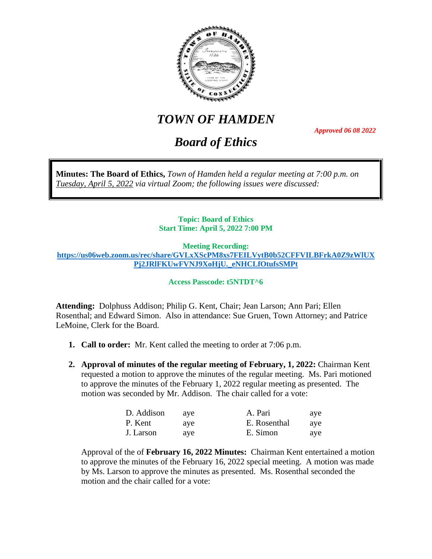

# *TOWN OF HAMDEN*

*Board of Ethics*

*Approved 06 08 2022*

**Minutes: The Board of Ethics,** *Town of Hamden held a regular meeting at 7:00 p.m. on Tuesday, April 5, 2022 via virtual Zoom; the following issues were discussed:*

## **Topic: Board of Ethics Start Time: April 5, 2022 7:00 PM**

**Meeting Recording: [https://us06web.zoom.us/rec/share/GVLxXScPM8xs7FEILVytB0b52CFFVILBFrkA0Z9zWlUX](https://us06web.zoom.us/rec/share/GVLxXScPM8xs7FEILVytB0b52CFFVILBFrkA0Z9zWlUXPj2JRlFKUwFVNJ9XoHjU._eNHCLfOtufsSMPt) [Pj2JRlFKUwFVNJ9XoHjU.\\_eNHCLfOtufsSMPt](https://us06web.zoom.us/rec/share/GVLxXScPM8xs7FEILVytB0b52CFFVILBFrkA0Z9zWlUXPj2JRlFKUwFVNJ9XoHjU._eNHCLfOtufsSMPt)**

**Access Passcode: t5NTDT^6**

**Attending:** Dolphuss Addison; Philip G. Kent, Chair; Jean Larson; Ann Pari; Ellen Rosenthal; and Edward Simon. Also in attendance: Sue Gruen, Town Attorney; and Patrice LeMoine, Clerk for the Board.

- **1. Call to order:** Mr. Kent called the meeting to order at 7:06 p.m.
- **2. Approval of minutes of the regular meeting of February, 1, 2022:** Chairman Kent requested a motion to approve the minutes of the regular meeting. Ms. Pari motioned to approve the minutes of the February 1, 2022 regular meeting as presented. The motion was seconded by Mr. Addison. The chair called for a vote:

| D. Addison | ave | A. Pari      | ave |
|------------|-----|--------------|-----|
| P. Kent    | ave | E. Rosenthal | ave |
| J. Larson  | ave | E. Simon     | ave |

Approval of the of **February 16, 2022 Minutes:** Chairman Kent entertained a motion to approve the minutes of the February 16, 2022 special meeting. A motion was made by Ms. Larson to approve the minutes as presented. Ms. Rosenthal seconded the motion and the chair called for a vote: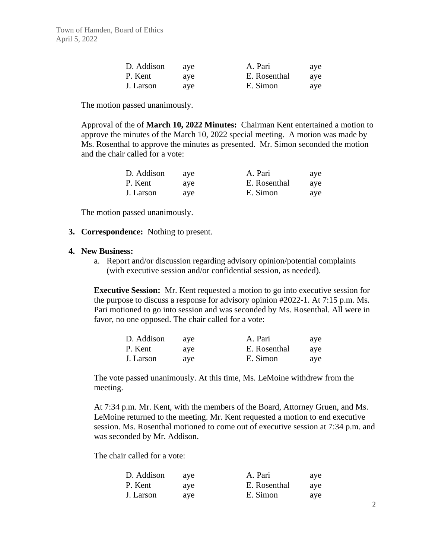| D. Addison | ave | A. Pari      | ave |
|------------|-----|--------------|-----|
| P. Kent    | ave | E. Rosenthal | ave |
| J. Larson  | ave | E. Simon     | ave |

The motion passed unanimously.

Approval of the of **March 10, 2022 Minutes:** Chairman Kent entertained a motion to approve the minutes of the March 10, 2022 special meeting. A motion was made by Ms. Rosenthal to approve the minutes as presented. Mr. Simon seconded the motion and the chair called for a vote:

| D. Addison | ave | A. Pari      | aye |
|------------|-----|--------------|-----|
| P. Kent    | ave | E. Rosenthal | ave |
| J. Larson  | ave | E. Simon     | ave |

The motion passed unanimously.

### **3. Correspondence:** Nothing to present.

#### **4. New Business:**

a. Report and/or discussion regarding advisory opinion/potential complaints (with executive session and/or confidential session, as needed).

**Executive Session:** Mr. Kent requested a motion to go into executive session for the purpose to discuss a response for advisory opinion #2022-1. At 7:15 p.m. Ms. Pari motioned to go into session and was seconded by Ms. Rosenthal. All were in favor, no one opposed. The chair called for a vote:

| D. Addison | ave | A. Pari      | ave |
|------------|-----|--------------|-----|
| P. Kent    | ave | E. Rosenthal | ave |
| J. Larson  | ave | E. Simon     | ave |

The vote passed unanimously. At this time, Ms. LeMoine withdrew from the meeting.

At 7:34 p.m. Mr. Kent, with the members of the Board, Attorney Gruen, and Ms. LeMoine returned to the meeting. Mr. Kent requested a motion to end executive session. Ms. Rosenthal motioned to come out of executive session at 7:34 p.m. and was seconded by Mr. Addison.

The chair called for a vote:

| D. Addison | ave | A. Pari      | aye |
|------------|-----|--------------|-----|
| P. Kent    | ave | E. Rosenthal | ave |
| J. Larson  | ave | E. Simon     | ave |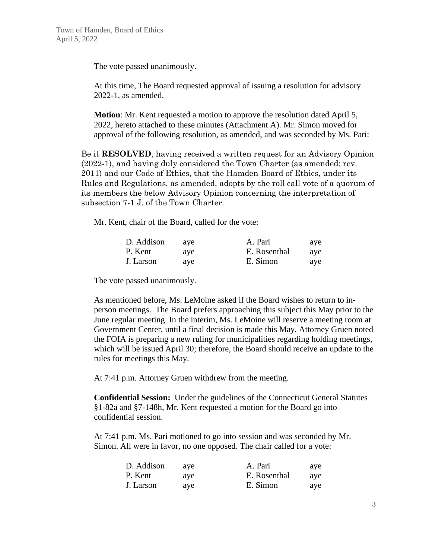The vote passed unanimously.

At this time, The Board requested approval of issuing a resolution for advisory 2022-1, as amended.

**Motion**: Mr. Kent requested a motion to approve the resolution dated April 5, 2022, hereto attached to these minutes (Attachment A). Mr. Simon moved for approval of the following resolution, as amended, and was seconded by Ms. Pari:

Be it **RESOLVED**, having received a written request for an Advisory Opinion (2022-1), and having duly considered the Town Charter (as amended; rev. 2011) and our Code of Ethics, that the Hamden Board of Ethics, under its Rules and Regulations, as amended, adopts by the roll call vote of a quorum of its members the below Advisory Opinion concerning the interpretation of subsection 7-1 J. of the Town Charter.

Mr. Kent, chair of the Board, called for the vote:

| D. Addison | ave | A. Pari      | ave |
|------------|-----|--------------|-----|
| P. Kent    | ave | E. Rosenthal | ave |
| J. Larson  | ave | E. Simon     | ave |

The vote passed unanimously.

As mentioned before, Ms. LeMoine asked if the Board wishes to return to inperson meetings. The Board prefers approaching this subject this May prior to the June regular meeting. In the interim, Ms. LeMoine will reserve a meeting room at Government Center, until a final decision is made this May. Attorney Gruen noted the FOIA is preparing a new ruling for municipalities regarding holding meetings, which will be issued April 30; therefore, the Board should receive an update to the rules for meetings this May.

At 7:41 p.m. Attorney Gruen withdrew from the meeting.

**Confidential Session:** Under the guidelines of the Connecticut General Statutes §1-82a and §7-148h, Mr. Kent requested a motion for the Board go into confidential session.

At 7:41 p.m. Ms. Pari motioned to go into session and was seconded by Mr. Simon. All were in favor, no one opposed. The chair called for a vote:

| D. Addison | ave | A. Pari      | aye |
|------------|-----|--------------|-----|
| P. Kent    | ave | E. Rosenthal | aye |
| J. Larson  | ave | E. Simon     | aye |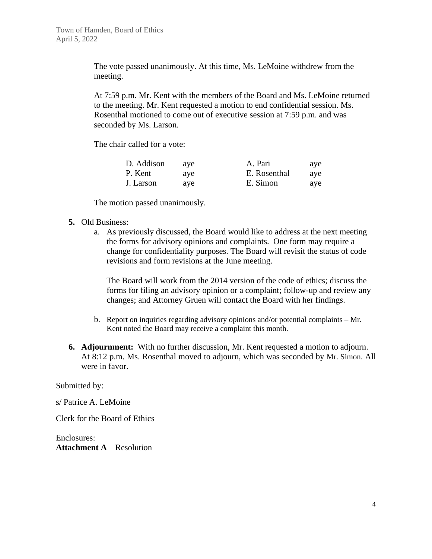The vote passed unanimously. At this time, Ms. LeMoine withdrew from the meeting.

At 7:59 p.m. Mr. Kent with the members of the Board and Ms. LeMoine returned to the meeting. Mr. Kent requested a motion to end confidential session. Ms. Rosenthal motioned to come out of executive session at 7:59 p.m. and was seconded by Ms. Larson.

The chair called for a vote:

| D. Addison | ave | A. Pari      | ave |
|------------|-----|--------------|-----|
| P. Kent    | ave | E. Rosenthal | ave |
| J. Larson  | ave | E. Simon     | ave |

The motion passed unanimously.

- **5.** Old Business:
	- a. As previously discussed, the Board would like to address at the next meeting the forms for advisory opinions and complaints. One form may require a change for confidentiality purposes. The Board will revisit the status of code revisions and form revisions at the June meeting.

The Board will work from the 2014 version of the code of ethics; discuss the forms for filing an advisory opinion or a complaint; follow-up and review any changes; and Attorney Gruen will contact the Board with her findings.

- b. Report on inquiries regarding advisory opinions and/or potential complaints Mr. Kent noted the Board may receive a complaint this month.
- **6. Adjournment:** With no further discussion, Mr. Kent requested a motion to adjourn. At 8:12 p.m. Ms. Rosenthal moved to adjourn, which was seconded by Mr. Simon. All were in favor.

Submitted by:

s/ Patrice A. LeMoine

Clerk for the Board of Ethics

Enclosures: **Attachment A** – Resolution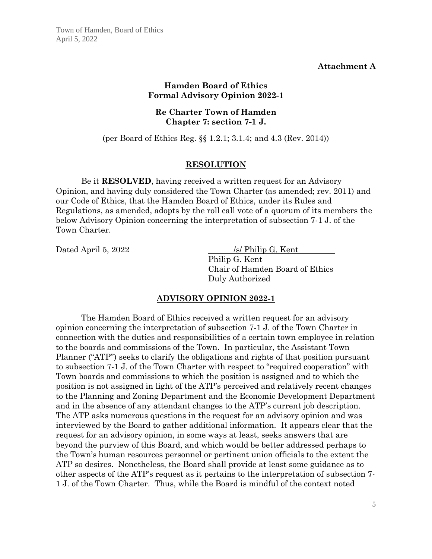#### **Attachment A**

## **Hamden Board of Ethics Formal Advisory Opinion 2022-1**

## **Re Charter Town of Hamden Chapter 7: section 7-1 J.**

(per Board of Ethics Reg. §§ 1.2.1; 3.1.4; and 4.3 (Rev. 2014))

### **RESOLUTION**

Be it **RESOLVED**, having received a written request for an Advisory Opinion, and having duly considered the Town Charter (as amended; rev. 2011) and our Code of Ethics, that the Hamden Board of Ethics, under its Rules and Regulations, as amended, adopts by the roll call vote of a quorum of its members the below Advisory Opinion concerning the interpretation of subsection 7-1 J. of the Town Charter.

Dated April 5, 2022 /s/ Philip G. Kent Philip G. Kent Chair of Hamden Board of Ethics Duly Authorized

## **ADVISORY OPINION 2022-1**

The Hamden Board of Ethics received a written request for an advisory opinion concerning the interpretation of subsection 7-1 J. of the Town Charter in connection with the duties and responsibilities of a certain town employee in relation to the boards and commissions of the Town. In particular, the Assistant Town Planner ("ATP") seeks to clarify the obligations and rights of that position pursuant to subsection 7-1 J. of the Town Charter with respect to "required cooperation" with Town boards and commissions to which the position is assigned and to which the position is not assigned in light of the ATP's perceived and relatively recent changes to the Planning and Zoning Department and the Economic Development Department and in the absence of any attendant changes to the ATP's current job description. The ATP asks numerous questions in the request for an advisory opinion and was interviewed by the Board to gather additional information. It appears clear that the request for an advisory opinion, in some ways at least, seeks answers that are beyond the purview of this Board, and which would be better addressed perhaps to the Town's human resources personnel or pertinent union officials to the extent the ATP so desires. Nonetheless, the Board shall provide at least some guidance as to other aspects of the ATP's request as it pertains to the interpretation of subsection 7- 1 J. of the Town Charter. Thus, while the Board is mindful of the context noted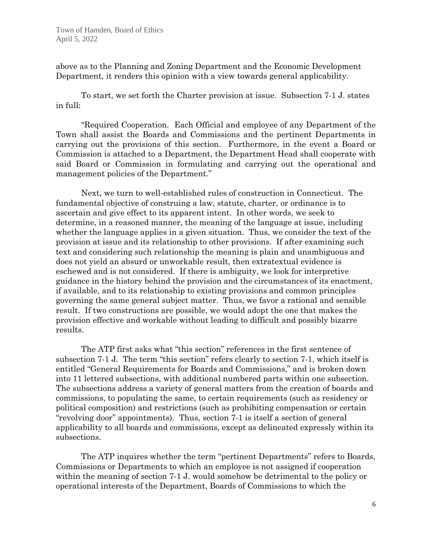above as to the Planning and Zoning Department and the Economic Development Department, it renders this opinion with a view towards general applicability.

To start, we set forth the Charter provision at issue. Subsection 7-1 J. states in full:

"Required Cooperation. Each Official and employee of any Department of the Town shall assist the Boards and Commissions and the pertinent Departments in carrying out the provisions of this section. Furthermore, in the event a Board or Commission is attached to a Department, the Department Head shall cooperate with said Board or Commission in formulating and carrying out the operational and management policies of the Department."

Next, we turn to well-established rules of construction in Connecticut. The fundamental objective of construing a law, statute, charter, or ordinance is to ascertain and give effect to its apparent intent. In other words, we seek to determine, in a reasoned manner, the meaning of the language at issue, including whether the language applies in a given situation. Thus, we consider the text of the provision at issue and its relationship to other provisions. If after examining such text and considering such relationship the meaning is plain and unambiguous and does not yield an absurd or unworkable result, then extratextual evidence is eschewed and is not considered. If there is ambiguity, we look for interpretive guidance in the history behind the provision and the circumstances of its enactment, if available, and to its relationship to existing provisions and common principles governing the same general subject matter. Thus, we favor a rational and sensible result. If two constructions are possible, we would adopt the one that makes the provision effective and workable without leading to difficult and possibly bizarre results.

The ATP first asks what "this section" references in the first sentence of subsection 7-1 J. The term "this section" refers clearly to section 7-1, which itself is entitled "General Requirements for Boards and Commissions," and is broken down into 11 lettered subsections, with additional numbered parts within one subsection. The subsections address a variety of general matters from the creation of boards and commissions, to populating the same, to certain requirements (such as residency or political composition) and restrictions (such as prohibiting compensation or certain "revolving door" appointments). Thus, section 7-1 is itself a section of general applicability to all boards and commissions, except as delineated expressly within its subsections.

The ATP inquires whether the term "pertinent Departments" refers to Boards, Commissions or Departments to which an employee is not assigned if cooperation within the meaning of section 7-1 J. would somehow be detrimental to the policy or operational interests of the Department, Boards of Commissions to which the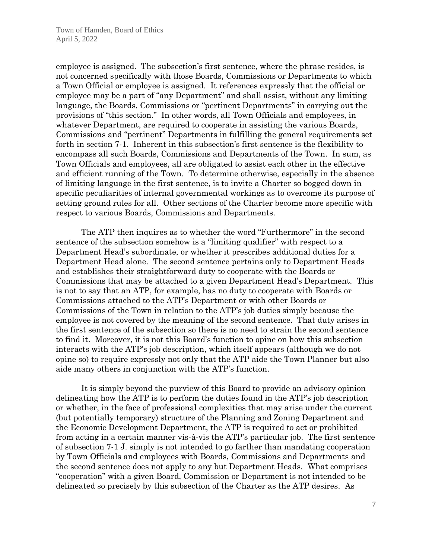employee is assigned. The subsection's first sentence, where the phrase resides, is not concerned specifically with those Boards, Commissions or Departments to which a Town Official or employee is assigned. It references expressly that the official or employee may be a part of "any Department" and shall assist, without any limiting language, the Boards, Commissions or "pertinent Departments" in carrying out the provisions of "this section." In other words, all Town Officials and employees, in whatever Department, are required to cooperate in assisting the various Boards, Commissions and "pertinent" Departments in fulfilling the general requirements set forth in section 7-1. Inherent in this subsection's first sentence is the flexibility to encompass all such Boards, Commissions and Departments of the Town. In sum, as Town Officials and employees, all are obligated to assist each other in the effective and efficient running of the Town. To determine otherwise, especially in the absence of limiting language in the first sentence, is to invite a Charter so bogged down in specific peculiarities of internal governmental workings as to overcome its purpose of setting ground rules for all. Other sections of the Charter become more specific with respect to various Boards, Commissions and Departments.

The ATP then inquires as to whether the word "Furthermore" in the second sentence of the subsection somehow is a "limiting qualifier" with respect to a Department Head's subordinate, or whether it prescribes additional duties for a Department Head alone. The second sentence pertains only to Department Heads and establishes their straightforward duty to cooperate with the Boards or Commissions that may be attached to a given Department Head's Department. This is not to say that an ATP, for example, has no duty to cooperate with Boards or Commissions attached to the ATP's Department or with other Boards or Commissions of the Town in relation to the ATP's job duties simply because the employee is not covered by the meaning of the second sentence. That duty arises in the first sentence of the subsection so there is no need to strain the second sentence to find it. Moreover, it is not this Board's function to opine on how this subsection interacts with the ATP's job description, which itself appears (although we do not opine so) to require expressly not only that the ATP aide the Town Planner but also aide many others in conjunction with the ATP's function.

It is simply beyond the purview of this Board to provide an advisory opinion delineating how the ATP is to perform the duties found in the ATP's job description or whether, in the face of professional complexities that may arise under the current (but potentially temporary) structure of the Planning and Zoning Department and the Economic Development Department, the ATP is required to act or prohibited from acting in a certain manner vis-à-vis the ATP's particular job. The first sentence of subsection 7-1 J. simply is not intended to go farther than mandating cooperation by Town Officials and employees with Boards, Commissions and Departments and the second sentence does not apply to any but Department Heads. What comprises "cooperation" with a given Board, Commission or Department is not intended to be delineated so precisely by this subsection of the Charter as the ATP desires. As